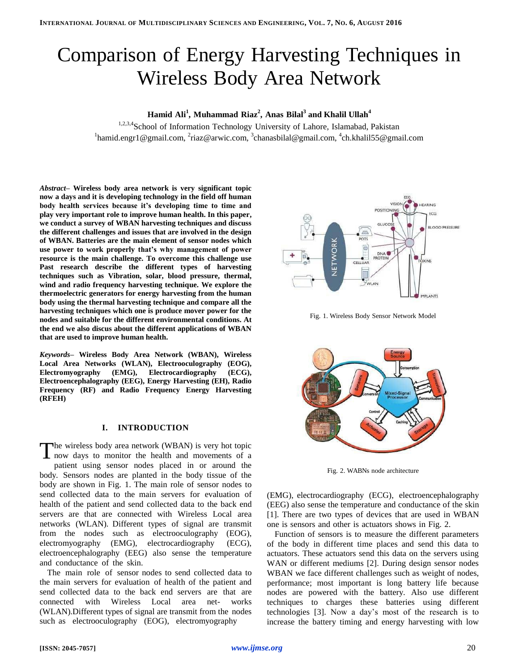# Comparison of Energy Harvesting Techniques in Wireless Body Area Network

## **Hamid Ali<sup>1</sup> , Muhammad Riaz<sup>2</sup> , Anas Bilal<sup>3</sup> and Khalil Ullah<sup>4</sup>**

1,2,3,4School of Information Technology University of Lahore, Islamabad, Pakistan <sup>1</sup>hamid.engr1@gmail.com, <sup>2</sup>riaz@arwic.com, <sup>3</sup>[chanasbilal@gmail.com,](mailto:hanasbilal@gmail.com) <sup>4</sup>ch.khalil55@gmail.com

*Abstract–* **Wireless body area network is very significant topic now a days and it is developing technology in the field off human body health services because it's developing time to time and play very important role to improve human health. In this paper, we conduct a survey of WBAN harvesting techniques and discuss the different challenges and issues that are involved in the design of WBAN. Batteries are the main element of sensor nodes which use power to work properly that's why management of power resource is the main challenge. To overcome this challenge use Past research describe the different types of harvesting techniques such as Vibration, solar, blood pressure, thermal, wind and radio frequency harvesting technique. We explore the thermoelectric generators for energy harvesting from the human body using the thermal harvesting technique and compare all the harvesting techniques which one is produce mover power for the nodes and suitable for the different environmental conditions. At the end we also discus about the different applications of WBAN that are used to improve human health.**

*Keywords–* **Wireless Body Area Network (WBAN), Wireless Local Area Networks (WLAN), Electrooculography (EOG), Electromyography (EMG), Electrocardiography (ECG), Electroencephalography (EEG), Energy Harvesting (EH), Radio Frequency (RF) and Radio Frequency Energy Harvesting (RFEH)**

## **I. INTRODUCTION**

he wireless body area network (WBAN) is very hot topic now days to monitor the health and movements of a patient using sensor nodes placed in or around the body. Sensors nodes are planted in the body tissue of the body are shown in Fig. 1. The main role of sensor nodes to send collected data to the main servers for evaluation of health of the patient and send collected data to the back end servers are that are connected with Wireless Local area networks (WLAN). Different types of signal are transmit from the nodes such as electrooculography (EOG), electromyography (EMG), electrocardiography (ECG), electroencephalography (EEG) also sense the temperature and conductance of the skin. T

The main role of sensor nodes to send collected data to the main servers for evaluation of health of the patient and send collected data to the back end servers are that are connected with Wireless Local area net- works (WLAN).Different types of signal are transmit from the nodes such as electrooculography (EOG), electromyography



Fig. 1. Wireless Body Sensor Network Model



Fig. 2. WABNs node architecture

(EMG), electrocardiography (ECG), electroencephalography (EEG) also sense the temperature and conductance of the skin [1]. There are two types of devices that are used in WBAN one is sensors and other is actuators shows in Fig. 2.

Function of sensors is to measure the different parameters of the body in different time places and send this data to actuators. These actuators send this data on the servers using WAN or different mediums [2]. During design sensor nodes WBAN we face different challenges such as weight of nodes, performance; most important is long battery life because nodes are powered with the battery. Also use different techniques to charges these batteries using different technologies [3]. Now a day's most of the research is to increase the battery timing and energy harvesting with low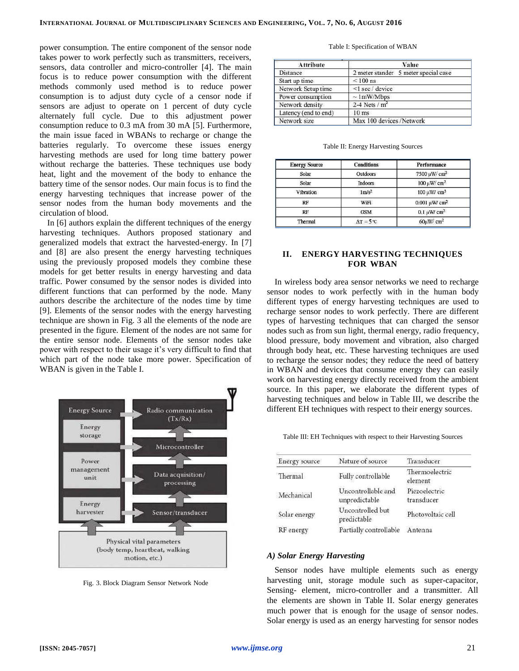power consumption. The entire component of the sensor node takes power to work perfectly such as transmitters, receivers, sensors, data controller and micro-controller [4]. The main focus is to reduce power consumption with the different methods commonly used method is to reduce power consumption is to adjust duty cycle of a censor node if sensors are adjust to operate on 1 percent of duty cycle alternately full cycle. Due to this adjustment power consumption reduce to 0.3 mA from 30 mA [5]. Furthermore, the main issue faced in WBANs to recharge or change the batteries regularly. To overcome these issues energy harvesting methods are used for long time battery power without recharge the batteries. These techniques use body heat, light and the movement of the body to enhance the battery time of the sensor nodes. Our main focus is to find the energy harvesting techniques that increase power of the sensor nodes from the human body movements and the circulation of blood.

In [6] authors explain the different techniques of the energy harvesting techniques. Authors proposed stationary and generalized models that extract the harvested-energy. In [7] and [8] are also present the energy harvesting techniques using the previously proposed models they combine these models for get better results in energy harvesting and data traffic. Power consumed by the sensor nodes is divided into different functions that can performed by the node. Many authors describe the architecture of the nodes time by time [9]. Elements of the sensor nodes with the energy harvesting technique are shown in Fig. 3 all the elements of the node are presented in the figure. Element of the nodes are not same for the entire sensor node. Elements of the sensor nodes take power with respect to their usage it's very difficult to find that which part of the node take more power. Specification of WBAN is given in the Table I.



Fig. 3. Block Diagram Sensor Network Node

#### Table I: Specification of WBAN

| Attribute            | Value                                |  |
|----------------------|--------------------------------------|--|
| <b>Distance</b>      | 2 meter stander 5 meter special case |  |
| Start up time        | $< 100$ ns                           |  |
| Network Setup time   | <1 sec / device                      |  |
| Power consumption    | $\sim$ 1mW/Mbps                      |  |
| Network density      | 2-4 Nets $/m2$                       |  |
| Latency (end to end) | $10$ ms                              |  |
| Network size         | Max 100 devices /Network             |  |

| Table II: Energy Harvesting Sources |  |
|-------------------------------------|--|
|-------------------------------------|--|

| <b>Energy Source</b> | <b>Conditions</b> | Performance                       |
|----------------------|-------------------|-----------------------------------|
| Solar                | <b>Outdoors</b>   | $7500 \,\mathrm{\upmu W/cm^2}$    |
| Solar                | <b>Indoors</b>    | $100 \mu W/cm^2$                  |
| Vibration            | $1 \text{ m/s}^2$ | $100 \mu W/cm^3$                  |
| RF                   | WiFi              | $0.001 \,\mathrm{\upmu W/\,cm^2}$ |
| RF                   | <b>GSM</b>        | $0.1 \mu$ W/ $cm2$                |
| Thermal              | $AT = 5^{\circ}C$ | $60 \mu W/cm^2$                   |

## **II. ENERGY HARVESTING TECHNIQUES FOR WBAN**

In wireless body area sensor networks we need to recharge sensor nodes to work perfectly with in the human body different types of energy harvesting techniques are used to recharge sensor nodes to work perfectly. There are different types of harvesting techniques that can charged the sensor nodes such as from sun light, thermal energy, radio frequency, blood pressure, body movement and vibration, also charged through body heat, etc. These harvesting techniques are used to recharge the sensor nodes; they reduce the need of battery in WBAN and devices that consume energy they can easily work on harvesting energy directly received from the ambient source. In this paper, we elaborate the different types of harvesting techniques and below in Table III, we describe the different EH techniques with respect to their energy sources.

Table III: EH Techniques with respect to their Harvesting Sources

| Energy source | Nature of source                    | Transducer                  |
|---------------|-------------------------------------|-----------------------------|
| Thermal       | Fully controllable                  | Thermoelectric<br>element   |
| Mechanical    | Uncontrollable and<br>unpredictable | Piezoelectric<br>transducer |
| Solar energy  | Uncontrolled but<br>predictable     | Photovoltaic cell           |
| RF energy     | Partially controllable              | Antenna                     |

## *A) Solar Energy Harvesting*

Sensor nodes have multiple elements such as energy harvesting unit, storage module such as super-capacitor, Sensing- element, micro-controller and a transmitter. All the elements are shown in Table II. Solar energy generates much power that is enough for the usage of sensor nodes. Solar energy is used as an energy harvesting for sensor nodes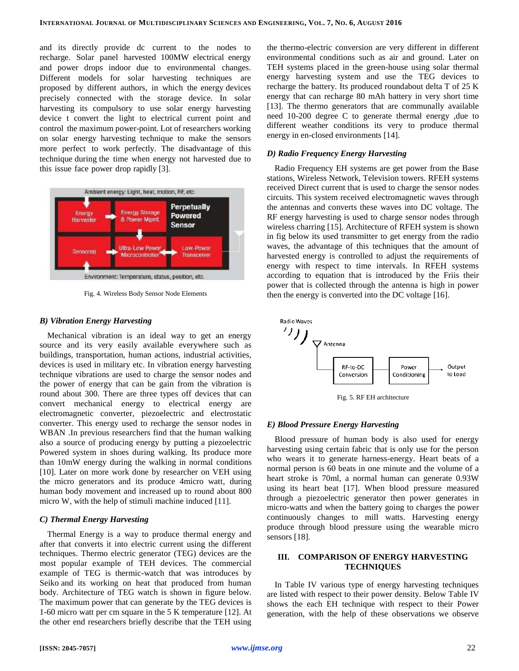and its directly provide dc current to the nodes to recharge. Solar panel harvested 100MW electrical energy and power drops indoor due to environmental changes. Different models for solar harvesting techniques are proposed by different authors, in which the energy devices precisely connected with the storage device. In solar harvesting its compulsory to use solar energy harvesting device t convert the light to electrical current point and control the maximum power-point. Lot of researchers working on solar energy harvesting technique to make the sensors more perfect to work perfectly. The disadvantage of this technique during the time when energy not harvested due to this issue face power drop rapidly [3].



Fig. 4. Wireless Body Sensor Node Elements

## *B) Vibration Energy Harvesting*

Mechanical vibration is an ideal way to get an energy source and its very easily available everywhere such as buildings, transportation, human actions, industrial activities, devices is used in military etc. In vibration energy harvesting technique vibrations are used to charge the sensor nodes and the power of energy that can be gain from the vibration is round about 300. There are three types off devices that can convert mechanical energy to electrical energy are electromagnetic converter, piezoelectric and electrostatic converter. This energy used to recharge the sensor nodes in WBAN .In previous researchers find that the human walking also a source of producing energy by putting a piezoelectric Powered system in shoes during walking. Its produce more than 10mW energy during the walking in normal conditions [10]. Later on more work done by researcher on VEH using the micro generators and its produce 4micro watt, during human body movement and increased up to round about 800 micro W, with the help of stimuli machine induced [11].

## *C) Thermal Energy Harvesting*

Thermal Energy is a way to produce thermal energy and after that converts it into electric current using the different techniques. Thermo electric generator (TEG) devices are the most popular example of TEH devices. The commercial example of TEG is thermic-watch that was introduces by Seiko and its working on heat that produced from human body. Architecture of TEG watch is shown in figure below. The maximum power that can generate by the TEG devices is 1-60 micro watt per cm square in the 5 K temperature [12]. At the other end researchers briefly describe that the TEH using

the thermo-electric conversion are very different in different environmental conditions such as air and ground. Later on TEH systems placed in the green-house using solar thermal energy harvesting system and use the TEG devices to recharge the battery. Its produced roundabout delta T of 25 K energy that can recharge 80 mAh battery in very short time [13]. The thermo generators that are communally available need 10-200 degree C to generate thermal energy ,due to different weather conditions its very to produce thermal energy in en-closed environments [14].

#### *D) Radio Frequency Energy Harvesting*

Radio Frequency EH systems are get power from the Base stations, Wireless Network, Television towers. RFEH systems received Direct current that is used to charge the sensor nodes circuits. This system received electromagnetic waves through the antennas and converts these waves into DC voltage. The RF energy harvesting is used to charge sensor nodes through wireless charring [15]. Architecture of RFEH system is shown in fig below its used transmitter to get energy from the radio waves, the advantage of this techniques that the amount of harvested energy is controlled to adjust the requirements of energy with respect to time intervals. In RFEH systems according to equation that is introduced by the Friis their power that is collected through the antenna is high in power then the energy is converted into the DC voltage [16].



Fig. 5. RF EH architecture

### *E) Blood Pressure Energy Harvesting*

Blood pressure of human body is also used for energy harvesting using certain fabric that is only use for the person who wears it to generate harness-energy. Heart beats of a normal person is 60 beats in one minute and the volume of a heart stroke is 70ml, a normal human can generate 0.93W using its heart beat [17]. When blood pressure measured through a piezoelectric generator then power generates in micro-watts and when the battery going to charges the power continuously changes to mill watts. Harvesting energy produce through blood pressure using the wearable micro sensors [18].

## **III. COMPARISON OF ENERGY HARVESTING TECHNIQUES**

In Table IV various type of energy harvesting techniques are listed with respect to their power density. Below Table IV shows the each EH technique with respect to their Power generation, with the help of these observations we observe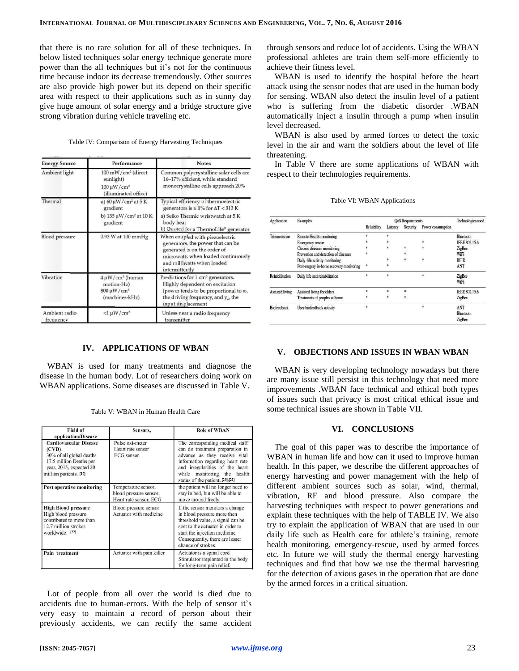that there is no rare solution for all of these techniques. In below listed techniques solar energy technique generate more power than the all techniques but it's not for the continuous time because indoor its decrease tremendously. Other sources are also provide high power but its depend on their specific area with respect to their applications such as in sunny day give huge amount of solar energy and a bridge structure give strong vibration during vehicle traveling etc.

|  | Table IV: Comparison of Energy Harvesting Techniques |  |  |  |
|--|------------------------------------------------------|--|--|--|
|--|------------------------------------------------------|--|--|--|

| <b>Energy Source</b>                                                                                | Performance                                                                                            | <b>Notes</b><br>Common polycrystalline solar cells are<br>16-17% efficient, while standard<br>monocrystalline cells approach 20%                                                                        |  |  |
|-----------------------------------------------------------------------------------------------------|--------------------------------------------------------------------------------------------------------|---------------------------------------------------------------------------------------------------------------------------------------------------------------------------------------------------------|--|--|
| Ambient light                                                                                       | $100$ mW/cm <sup>2</sup> (direct<br>sunlight)<br>$100 \,\mathrm{\upmu W/cm^2}$<br>(illuminated office) |                                                                                                                                                                                                         |  |  |
| Thermal<br>a) $60 \mu W/cm^2$ at $5 K$<br>gradient<br>b) $135 \mu W/cm^2$ at $10 K$<br>gradient     |                                                                                                        | Typical efficiency of thermoelectric<br>generators is $\leq 1\%$ for $\Delta T < 313$ K<br>a) Seiko Thermic wristwatch at 5 K<br>body heat<br>b) Quoted for a ThermoLife® generator                     |  |  |
| $0.93$ W at $100$ mmHg<br><b>Blood</b> pressure                                                     |                                                                                                        | When coupled with piezoelectric<br>generators, the power that can be<br>generated is on the order of<br>microwatts when loaded continuously<br>and milliwatts when loaded<br>intermittently             |  |  |
| Vibration<br>$4 \mu W/cm^3$ (human<br>motion-Hz)<br>$800 \,\mathrm{\upmu W/cm^3}$<br>(machines-kHz) |                                                                                                        | Predictions for 1 cm <sup>3</sup> generators.<br>Highly dependent on excitation<br>(power tends to be proportional to $\omega$ ,<br>the driving frequency, and $y_{\alpha}$ , the<br>input displacement |  |  |
| Ambient radio<br>frequency                                                                          | $<1 \mu W/cm^2$                                                                                        | Unless near a radio frequency<br>transmitter                                                                                                                                                            |  |  |

### **IV. APPLICATIONS OF WBAN**

WBAN is used for many treatments and diagnose the disease in the human body. Lot of researchers doing work on WBAN applications. Some diseases are discussed in Table V.

Table V: WBAN in Human Health Care

| Field of<br>application/Disease                                                                                                                                                                                            | Sensors,                                                                | <b>Role of WBAN</b>                                                                                                                                                                                                                                 |  |
|----------------------------------------------------------------------------------------------------------------------------------------------------------------------------------------------------------------------------|-------------------------------------------------------------------------|-----------------------------------------------------------------------------------------------------------------------------------------------------------------------------------------------------------------------------------------------------|--|
| <b>Cardiovascular Disease</b><br>(CVD)<br>30% of all global deaths<br>17.5 million Deaths per<br>year, 2015, expected 20<br>million patients. [19]                                                                         | Pulse oxi-meter<br>Heart rate sensor<br><b>ECG</b> sensor               | The corresponding medical staff<br>can do treatment preparation in<br>advance as they receive vital<br>information regarding heart rate<br>and irregularities of the heart<br>monitoring the<br>while<br>health<br>status of the patient. [20],[21] |  |
| Post operative monitoring                                                                                                                                                                                                  | Temperature sensor,<br>blood pressure sensor,<br>Heart rate sensor, ECG | the patient will no longer need to<br>stay in bed, but will be able to<br>move around freely                                                                                                                                                        |  |
| <b>High Blood pressure</b><br>Blood pressure sensor<br>Actuator with medicine<br>High blood pressure<br>contributes to more than<br>12.7 million strokes<br>worldwide. [22]<br>Actuator with pain killer<br>Pain treatment |                                                                         | If the sensor monitors a change<br>in blood pressure more then<br>threshold value, a signal can be<br>sent to the actuator in order to<br>start the injection medicine.<br>Consequently, there are lesser<br>chance of strokes                      |  |
|                                                                                                                                                                                                                            |                                                                         | Actuator is a spinal cord<br>Stimulator implanted in the body<br>for long-term pain relief.                                                                                                                                                         |  |

Lot of people from all over the world is died due to accidents due to human-errors. With the help of sensor it's very easy to maintain a record of person about their previously accidents, we can rectify the same accident

through sensors and reduce lot of accidents. Using the WBAN professional athletes are train them self-more efficiently to achieve their fitness level.

WBAN is used to identify the hospital before the heart attack using the sensor nodes that are used in the human body for sensing. WBAN also detect the insulin level of a patient who is suffering from the diabetic disorder .WBAN automatically inject a insulin through a pump when insulin level decreased.

WBAN is also used by armed forces to detect the toxic level in the air and warn the soldiers about the level of life threatening.

In Table V there are some applications of WBAN with respect to their technologies requirements.

|  |  | Table VI: WBAN Applications |
|--|--|-----------------------------|
|--|--|-----------------------------|

| Application        | Examples                                 | <b>QoS</b> Requirements |         |          | Technologies used |                |
|--------------------|------------------------------------------|-------------------------|---------|----------|-------------------|----------------|
|                    |                                          | Reliability             | Latency | Security | Power consumption |                |
| Telemedecine       | Remote Health monitoring                 |                         | $\ast$  |          |                   | Bluetooth      |
|                    | <b>Emergency rescue</b>                  |                         | $\ast$  |          |                   | IEEE 802.15.6  |
|                    | Chronic diseases monitoring              |                         | ×       | $\star$  |                   | <b>ZigBee</b>  |
|                    | Prevention and detection of diseases     |                         |         | ¥        |                   | WiFi           |
|                    | Daily-life activity monitoring           |                         |         | ×        |                   | RFID           |
|                    | Post-surgery in-home recovery monitoring | ŝ                       |         |          |                   | ANT            |
| Rehabilitation     | Daily life and rehabilitation            |                         | 8       |          |                   | ZigBee<br>WiFi |
| Assisted living    | Assisted living for elders               |                         | ż       | ż        |                   | IEEE 802.15.6  |
|                    | Treatments of peoples at home            | \$                      | *       | *        |                   | <b>ZigBee</b>  |
| <b>Biofeedback</b> | User biofeedback activity                | ś                       |         |          |                   | ANT            |
|                    |                                          |                         |         |          |                   | Bluetooth      |
|                    |                                          |                         |         |          |                   | <b>ZigBee</b>  |

## **V. OBJECTIONS AND ISSUES IN WBAN WBAN**

WBAN is very developing technology nowadays but there are many issue still persist in this technology that need more improvements .WBAN face technical and ethical both types of issues such that privacy is most critical ethical issue and some technical issues are shown in Table VII.

## **VI. CONCLUSIONS**

The goal of this paper was to describe the importance of WBAN in human life and how can it used to improve human health. In this paper, we describe the different approaches of energy harvesting and power management with the help of different ambient sources such as solar, wind, thermal, vibration, RF and blood pressure. Also compare the harvesting techniques with respect to power generations and explain these techniques with the help of TABLE IV. We also try to explain the application of WBAN that are used in our daily life such as Health care for athlete's training, remote health monitoring, emergency-rescue, used by armed forces etc. In future we will study the thermal energy harvesting techniques and find that how we use the thermal harvesting for the detection of axious gases in the operation that are done by the armed forces in a critical situation.